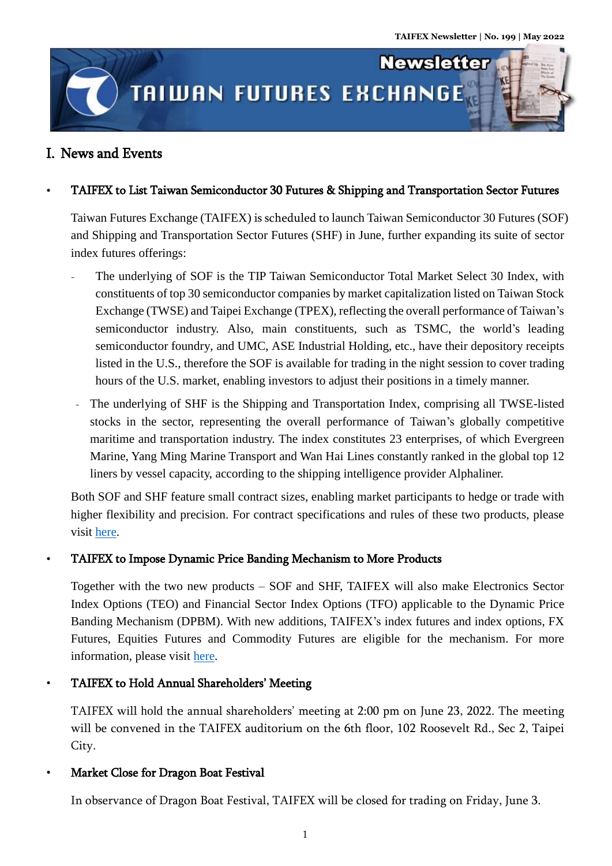**Newsletter** 

# **TAIWAN FUTURES EXCHANGE**

# I. News and Events

j ļ l

ĺ

### TAIFEX to List Taiwan Semiconductor 30 Futures & Shipping and Transportation Sector Futures

Taiwan Futures Exchange (TAIFEX) is scheduled to launch Taiwan Semiconductor 30 Futures (SOF) and Shipping and Transportation Sector Futures (SHF) in June, further expanding its suite of sector index futures offerings:

- The underlying of SOF is the TIP Taiwan Semiconductor Total Market Select 30 Index, with constituents of top 30 semiconductor companies by market capitalization listed on Taiwan Stock Exchange (TWSE) and Taipei Exchange (TPEX), reflecting the overall performance of Taiwan's semiconductor industry. Also, main constituents, such as TSMC, the world's leading semiconductor foundry, and UMC, ASE Industrial Holding, etc., have their depository receipts listed in the U.S., therefore the SOF is available for trading in the night session to cover trading hours of the U.S. market, enabling investors to adjust their positions in a timely manner.
- The underlying of SHF is the Shipping and Transportation Index, comprising all TWSE-listed stocks in the sector, representing the overall performance of Taiwan's globally competitive maritime and transportation industry. The index constitutes 23 enterprises, of which Evergreen Marine, Yang Ming Marine Transport and Wan Hai Lines constantly ranked in the global top 12 liners by vessel capacity, according to the shipping intelligence provider Alphaliner.

Both SOF and SHF feature small contract sizes, enabling market participants to hedge or trade with higher flexibility and precision. For contract specifications and rules of these two products, please visit [here.](https://www.taifex.com.tw/file/taifex/eng/eng11/TAIFEX%20to%20Launch%20Taiwan%20Semiconductor%2030%20Futures%20&%20Shipping%20and%20Transportation%20Sector%20Futures(1).pdf)

### TAIFEX to Impose Dynamic Price Banding Mechanism to More Products

Together with the two new products – SOF and SHF, TAIFEX will also make Electronics Sector Index Options (TEO) and Financial Sector Index Options (TFO) applicable to the Dynamic Price Banding Mechanism (DPBM). With new additions, TAIFEX's index futures and index options, FX Futures, Equities Futures and Commodity Futures are eligible for the mechanism. For more information, please visit [here.](https://www.taifex.com.tw/enl/eng4/dPBIntroduction)

TAIFEX to Hold Annual Shareholders' Meeting

TAIFEX will hold the annual shareholders' meeting at 2:00 pm on June 23, 2022. The meeting will be convened in the TAIFEX auditorium on the 6th floor, 102 Roosevelt Rd., Sec 2, Taipei City.

## Market Close for Dragon Boat Festival

In observance of Dragon Boat Festival, TAIFEX will be closed for trading on Friday, June 3.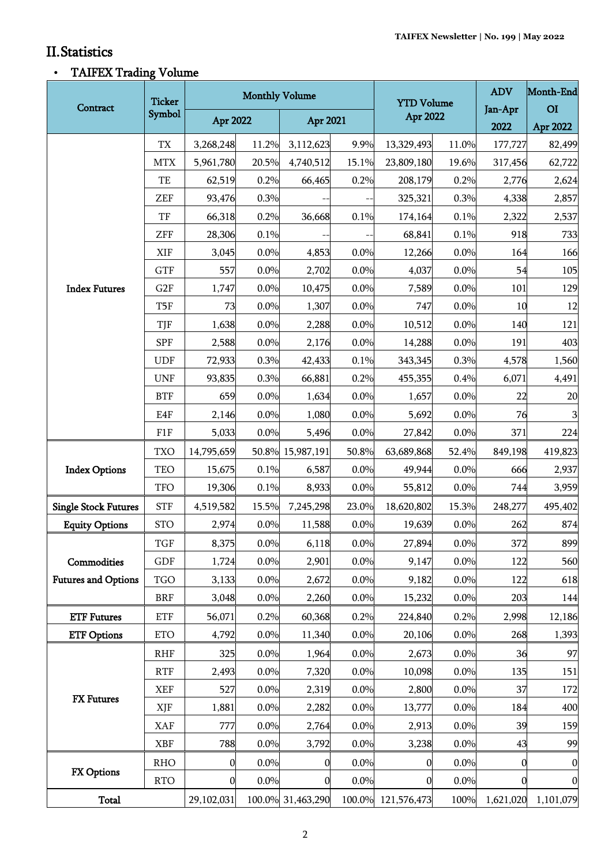.<br>Titul

ı,

# II.Statistics

# TAIFEX Trading Volume

| Contract                                  | <b>Ticker</b><br>Symbol | <b>Monthly Volume</b> |              |                   |       | <b>YTD Volume</b>  |              | <b>ADV</b>       | Month-End      |
|-------------------------------------------|-------------------------|-----------------------|--------------|-------------------|-------|--------------------|--------------|------------------|----------------|
|                                           |                         | Apr 2022              |              | Apr 2021          |       | <b>Apr 2022</b>    |              | Jan-Apr          | O <sub>I</sub> |
|                                           |                         |                       |              |                   |       |                    |              | 2022             | Apr 2022       |
|                                           | <b>TX</b>               | 3,268,248             | 11.2%        | 3,112,623         | 9.9%  | 13,329,493         | 11.0%        | 177,727          | 82,499         |
|                                           | <b>MTX</b>              | 5,961,780             | 20.5%        | 4,740,512         | 15.1% | 23,809,180         | 19.6%        | 317,456          | 62,722         |
|                                           | TE                      | 62,519                | 0.2%         | 66,465            | 0.2%  | 208,179            | 0.2%         | 2,776            | 2,624          |
|                                           | <b>ZEF</b>              | 93,476                | 0.3%         |                   |       | 325,321            | 0.3%         | 4,338            | 2,857          |
|                                           | TF<br>ZFF               | 66,318<br>28,306      | 0.2%<br>0.1% | 36,668            | 0.1%  | 174,164<br>68,841  | 0.1%<br>0.1% | 2,322<br>918     | 2,537<br>733   |
|                                           | <b>XIF</b>              | 3,045                 | 0.0%         | 4,853             | 0.0%  | 12,266             | 0.0%         | 164              | 166            |
|                                           | <b>GTF</b>              | 557                   | 0.0%         | 2,702             | 0.0%  | 4,037              | 0.0%         | 54               | 105            |
| <b>Index Futures</b>                      | G2F                     | 1,747                 | 0.0%         | 10,475            | 0.0%  | 7,589              | 0.0%         | 101              | 129            |
|                                           | T5F                     | 73                    | 0.0%         | 1,307             | 0.0%  | 747                | 0.0%         | 10               | 12             |
|                                           | TJF                     | 1,638                 | 0.0%         | 2,288             | 0.0%  | 10,512             | 0.0%         | 140              | 121            |
|                                           | <b>SPF</b>              | 2,588                 | 0.0%         | 2,176             | 0.0%  | 14,288             | 0.0%         | 191              | 403            |
|                                           | <b>UDF</b>              | 72,933                | 0.3%         | 42,433            | 0.1%  | 343,345            | 0.3%         | 4,578            | 1,560          |
|                                           | <b>UNF</b>              | 93,835                | 0.3%         | 66,881            | 0.2%  | 455,355            | 0.4%         | 6,071            | 4,491          |
|                                           | <b>BTF</b>              | 659                   | 0.0%         | 1,634             | 0.0%  | 1,657              | 0.0%         | 22               | 20             |
|                                           | E4F                     | 2,146                 | 0.0%         | 1,080             | 0.0%  | 5,692              | 0.0%         | 76               | $\mathbf{3}$   |
|                                           | F1F                     | 5,033                 | 0.0%         | 5,496             | 0.0%  | 27,842             | 0.0%         | 371              | 224            |
| <b>Index Options</b>                      | <b>TXO</b>              | 14,795,659            |              | 50.8% 15,987,191  | 50.8% | 63,689,868         | 52.4%        | 849,198          | 419,823        |
|                                           | <b>TEO</b>              | 15,675                | 0.1%         | 6,587             | 0.0%  | 49,944             | 0.0%         | 666              | 2,937          |
|                                           | <b>TFO</b>              | 19,306                | 0.1%         | 8,933             | 0.0%  | 55,812             | 0.0%         | 744              | 3,959          |
| <b>Single Stock Futures</b>               | <b>STF</b>              | 4,519,582             | 15.5%        | 7,245,298         | 23.0% | 18,620,802         | 15.3%        | 248,277          | 495,402        |
| <b>Equity Options</b>                     | <b>STO</b>              | 2,974                 | 0.0%         | 11,588            | 0.0%  | 19,639             | 0.0%         | 262              | 874            |
| Commodities<br><b>Futures and Options</b> | <b>TGF</b>              | 8,375                 | $0.0\%$      | 6,118             | 0.0%  | 27,894             | $0.0\%$      | 372              | 899            |
|                                           | <b>GDF</b>              | 1,724                 | 0.0%         | 2,901             | 0.0%  | 9,147              | 0.0%         | 122              | 560            |
|                                           | <b>TGO</b>              | 3,133                 | 0.0%         | 2,672             | 0.0%  | 9,182              | 0.0%         | 122              | 618            |
|                                           | <b>BRF</b>              | 3,048                 | 0.0%         | 2,260             | 0.0%  | 15,232             | 0.0%         | 203              | 144            |
| <b>ETF Futures</b>                        | <b>ETF</b>              | 56,071                | 0.2%         | 60,368            | 0.2%  | 224,840            | 0.2%         | 2,998            | 12,186         |
| <b>ETF Options</b>                        | <b>ETO</b>              | 4,792                 | 0.0%         | 11,340            | 0.0%  | 20,106             | 0.0%         | 268              | 1,393          |
| <b>FX</b> Futures                         | <b>RHF</b>              | 325                   | 0.0%         | 1,964             | 0.0%  | 2,673              | 0.0%         | 36               | 97             |
|                                           | <b>RTF</b>              | 2,493                 | 0.0%         | 7,320             | 0.0%  | 10,098             | 0.0%         | 135              | 151            |
|                                           | <b>XEF</b>              | 527                   | 0.0%         | 2,319             | 0.0%  | 2,800              | 0.0%         | 37               | 172            |
|                                           | XJF                     | 1,881                 | 0.0%         | 2,282             | 0.0%  | 13,777             | 0.0%         | 184              | 400            |
|                                           | <b>XAF</b>              | 777                   | 0.0%         | 2,764             | 0.0%  | 2,913              | 0.0%         | 39               | 159            |
|                                           | <b>XBF</b>              | 788                   | 0.0%         | 3,792             | 0.0%  | 3,238              | 0.0%         | 43               | 99             |
| <b>FX Options</b>                         | <b>RHO</b>              | $\boldsymbol{0}$      | 0.0%         | $\boldsymbol{0}$  | 0.0%  | 0                  | 0.0%         | $\boldsymbol{0}$ | $\mathbf{0}$   |
|                                           | <b>RTO</b>              | $\boldsymbol{0}$      | 0.0%         | $\mathbf{0}$      | 0.0%  | 0                  | 0.0%         | 0                | $\mathbf{0}$   |
| <b>Total</b>                              |                         | 29,102,031            |              | 100.0% 31,463,290 |       | 100.0% 121,576,473 | 100%         | 1,621,020        | 1,101,079      |